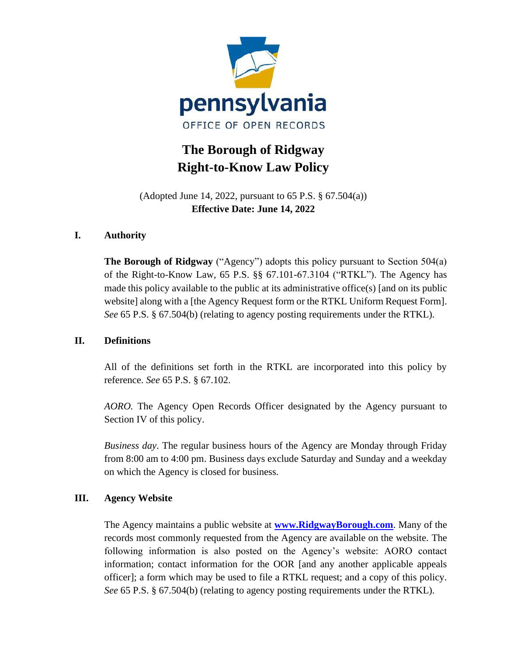

# **The Borough of Ridgway Right-to-Know Law Policy**

(Adopted June 14, 2022, pursuant to 65 P.S. § 67.504(a)) **Effective Date: June 14, 2022**

# **I. Authority**

**The Borough of Ridgway** ("Agency") adopts this policy pursuant to Section 504(a) of the Right-to-Know Law, 65 P.S. §§ 67.101-67.3104 ("RTKL"). The Agency has made this policy available to the public at its administrative office(s) [and on its public website] along with a [the Agency Request form or the RTKL Uniform Request Form]. *See* 65 P.S. § 67.504(b) (relating to agency posting requirements under the RTKL).

# **II. Definitions**

All of the definitions set forth in the RTKL are incorporated into this policy by reference. *See* 65 P.S. § 67.102.

*AORO.* The Agency Open Records Officer designated by the Agency pursuant to Section IV of this policy.

*Business day*. The regular business hours of the Agency are Monday through Friday from 8:00 am to 4:00 pm. Business days exclude Saturday and Sunday and a weekday on which the Agency is closed for business.

# **III. Agency Website**

The Agency maintains a public website at **[www.RidgwayBorough.com](http://www.ridgwayborough.com/)**. Many of the records most commonly requested from the Agency are available on the website. The following information is also posted on the Agency's website: AORO contact information; contact information for the OOR [and any another applicable appeals officer]; a form which may be used to file a RTKL request; and a copy of this policy. *See* 65 P.S. § 67.504(b) (relating to agency posting requirements under the RTKL).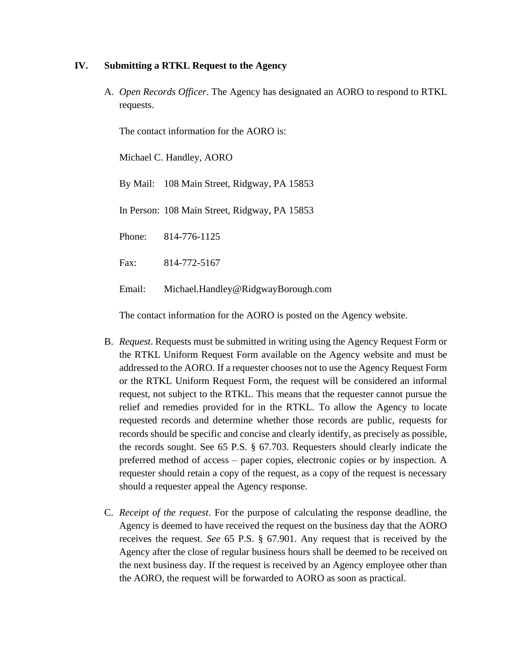## **IV. Submitting a RTKL Request to the Agency**

A. *Open Records Officer*. The Agency has designated an AORO to respond to RTKL requests.

The contact information for the AORO is:

Michael C. Handley, AORO

By Mail: 108 Main Street, Ridgway, PA 15853

In Person: 108 Main Street, Ridgway, PA 15853

Phone: 814-776-1125

Fax: 814-772-5167

Email: Michael.Handley@RidgwayBorough.com

The contact information for the AORO is posted on the Agency website.

- B. *Request*. Requests must be submitted in writing using the Agency Request Form or the RTKL Uniform Request Form available on the Agency website and must be addressed to the AORO. If a requester chooses not to use the Agency Request Form or the RTKL Uniform Request Form, the request will be considered an informal request, not subject to the RTKL. This means that the requester cannot pursue the relief and remedies provided for in the RTKL. To allow the Agency to locate requested records and determine whether those records are public, requests for records should be specific and concise and clearly identify, as precisely as possible, the records sought. See 65 P.S. § 67.703. Requesters should clearly indicate the preferred method of access – paper copies, electronic copies or by inspection. A requester should retain a copy of the request, as a copy of the request is necessary should a requester appeal the Agency response.
- C. *Receipt of the request*. For the purpose of calculating the response deadline, the Agency is deemed to have received the request on the business day that the AORO receives the request. *See* 65 P.S. § 67.901. Any request that is received by the Agency after the close of regular business hours shall be deemed to be received on the next business day. If the request is received by an Agency employee other than the AORO, the request will be forwarded to AORO as soon as practical.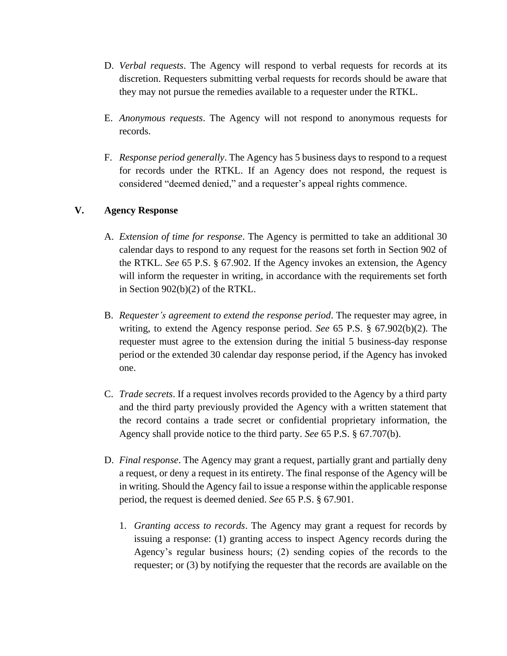- D. *Verbal requests*. The Agency will respond to verbal requests for records at its discretion. Requesters submitting verbal requests for records should be aware that they may not pursue the remedies available to a requester under the RTKL.
- E. *Anonymous requests*. The Agency will not respond to anonymous requests for records.
- F. *Response period generally*. The Agency has 5 business days to respond to a request for records under the RTKL. If an Agency does not respond, the request is considered "deemed denied," and a requester's appeal rights commence.

# **V. Agency Response**

- A. *Extension of time for response*. The Agency is permitted to take an additional 30 calendar days to respond to any request for the reasons set forth in Section 902 of the RTKL. *See* 65 P.S. § 67.902. If the Agency invokes an extension, the Agency will inform the requester in writing, in accordance with the requirements set forth in Section 902(b)(2) of the RTKL.
- B. *Requester's agreement to extend the response period*. The requester may agree, in writing, to extend the Agency response period. *See* 65 P.S. § 67.902(b)(2). The requester must agree to the extension during the initial 5 business-day response period or the extended 30 calendar day response period, if the Agency has invoked one.
- C. *Trade secrets*. If a request involves records provided to the Agency by a third party and the third party previously provided the Agency with a written statement that the record contains a trade secret or confidential proprietary information, the Agency shall provide notice to the third party. *See* 65 P.S. § 67.707(b).
- D. *Final response*. The Agency may grant a request, partially grant and partially deny a request, or deny a request in its entirety. The final response of the Agency will be in writing. Should the Agency fail to issue a response within the applicable response period, the request is deemed denied. *See* 65 P.S. § 67.901.
	- 1. *Granting access to records*. The Agency may grant a request for records by issuing a response: (1) granting access to inspect Agency records during the Agency's regular business hours; (2) sending copies of the records to the requester; or (3) by notifying the requester that the records are available on the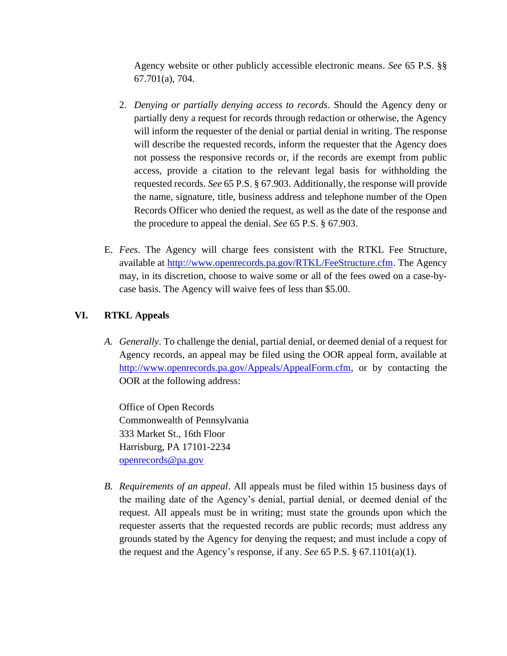Agency website or other publicly accessible electronic means. *See* 65 P.S. §§ 67.701(a), 704.

- 2. *Denying or partially denying access to records*. Should the Agency deny or partially deny a request for records through redaction or otherwise, the Agency will inform the requester of the denial or partial denial in writing. The response will describe the requested records, inform the requester that the Agency does not possess the responsive records or, if the records are exempt from public access, provide a citation to the relevant legal basis for withholding the requested records. *See* 65 P.S. § 67.903. Additionally, the response will provide the name, signature, title, business address and telephone number of the Open Records Officer who denied the request, as well as the date of the response and the procedure to appeal the denial. *See* 65 P.S. § 67.903.
- E. *Fees*. The Agency will charge fees consistent with the RTKL Fee Structure, available at [http://www.openrecords.pa.gov/RTKL/FeeStructure.cfm.](http://www.openrecords.pa.gov/RTKL/FeeStructure.cfm) The Agency may, in its discretion, choose to waive some or all of the fees owed on a case-bycase basis. The Agency will waive fees of less than \$5.00.

# **VI. RTKL Appeals**

*A. Generally*. To challenge the denial, partial denial, or deemed denial of a request for Agency records, an appeal may be filed using the OOR appeal form, available at [http://www.openrecords.pa.gov/Appeals/AppealForm.cfm,](http://www.openrecords.pa.gov/Appeals/AppealForm.cfm) or by contacting the OOR at the following address:

Office of Open Records Commonwealth of Pennsylvania 333 Market St., 16th Floor Harrisburg, PA 17101-2234 [openrecords@pa.gov](mailto:openrecords@pa.gov)

*B. Requirements of an appeal*. All appeals must be filed within 15 business days of the mailing date of the Agency's denial, partial denial, or deemed denial of the request. All appeals must be in writing; must state the grounds upon which the requester asserts that the requested records are public records; must address any grounds stated by the Agency for denying the request; and must include a copy of the request and the Agency's response, if any. *See* 65 P.S. § 67.1101(a)(1).